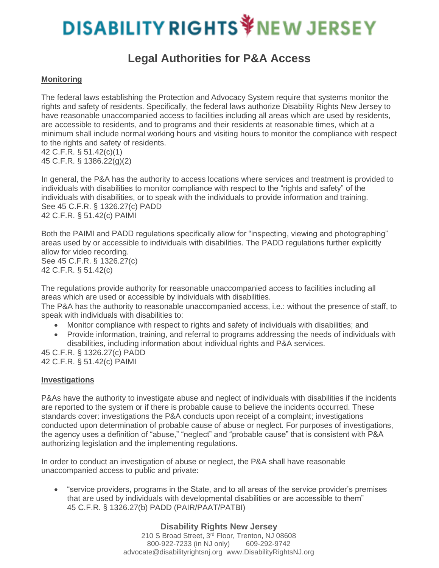# **DISABILITY RIGHTS VIEW JERSEY**

## **Legal Authorities for P&A Access**

#### **Monitoring**

The federal laws establishing the Protection and Advocacy System require that systems monitor the rights and safety of residents. Specifically, the federal laws authorize Disability Rights New Jersey to have reasonable unaccompanied access to facilities including all areas which are used by residents, are accessible to residents, and to programs and their residents at reasonable times, which at a minimum shall include normal working hours and visiting hours to monitor the compliance with respect to the rights and safety of residents.

42 C.F.R. § 51.42(c)(1) 45 C.F.R. § 1386.22(g)(2)

In general, the P&A has the authority to access locations where services and treatment is provided to individuals with disabilities to monitor compliance with respect to the "rights and safety" of the individuals with disabilities, or to speak with the individuals to provide information and training. See 45 C.F.R. § 1326.27(c) PADD 42 C.F.R. § 51.42(c) PAIMI

Both the PAIMI and PADD regulations specifically allow for "inspecting, viewing and photographing" areas used by or accessible to individuals with disabilities. The PADD regulations further explicitly allow for video recording. See 45 C.F.R. § 1326.27(c) 42 C.F.R. § 51.42(c)

The regulations provide authority for reasonable unaccompanied access to facilities including all areas which are used or accessible by individuals with disabilities.

The P&A has the authority to reasonable unaccompanied access, i.e.: without the presence of staff, to speak with individuals with disabilities to:

- Monitor compliance with respect to rights and safety of individuals with disabilities; and
- Provide information, training, and referral to programs addressing the needs of individuals with disabilities, including information about individual rights and P&A services.

45 C.F.R. § 1326.27(c) PADD 42 C.F.R. § 51.42(c) PAIMI

#### **Investigations**

P&As have the authority to investigate abuse and neglect of individuals with disabilities if the incidents are reported to the system or if there is probable cause to believe the incidents occurred. These standards cover: investigations the P&A conducts upon receipt of a complaint; investigations conducted upon determination of probable cause of abuse or neglect. For purposes of investigations, the agency uses a definition of "abuse," "neglect" and "probable cause" that is consistent with P&A authorizing legislation and the implementing regulations.

In order to conduct an investigation of abuse or neglect, the P&A shall have reasonable unaccompanied access to public and private:

• "service providers, programs in the State, and to all areas of the service provider's premises that are used by individuals with developmental disabilities or are accessible to them" 45 C.F.R. § 1326.27(b) PADD (PAIR/PAAT/PATBI)